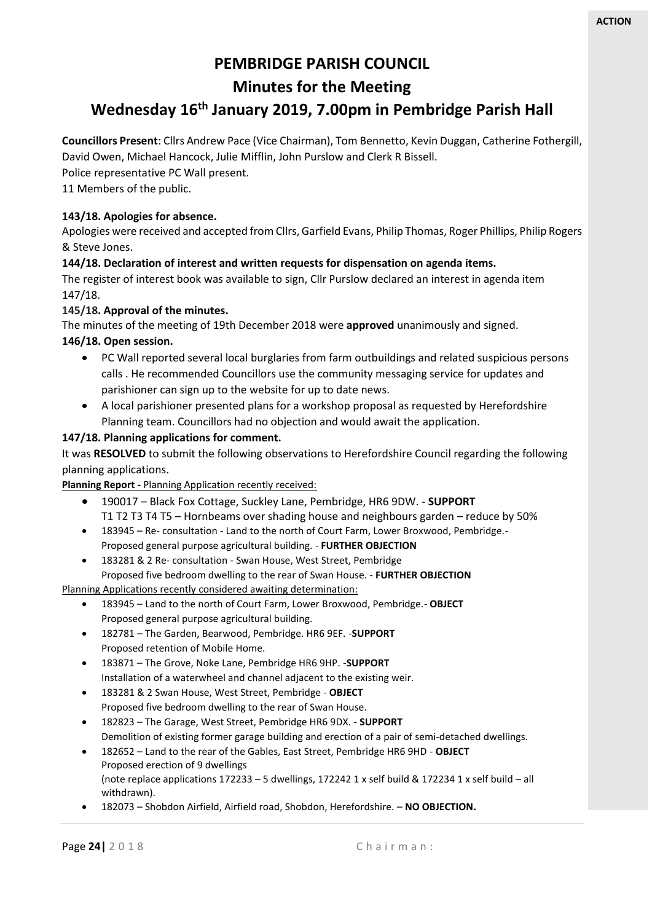## **PEMBRIDGE PARISH COUNCIL**

## **Minutes for the Meeting**

# **Wednesday 16 th January 2019, 7.00pm in Pembridge Parish Hall**

**Councillors Present**: Cllrs Andrew Pace (Vice Chairman), Tom Bennetto, Kevin Duggan, Catherine Fothergill, David Owen, Michael Hancock, Julie Mifflin, John Purslow and Clerk R Bissell.

Police representative PC Wall present.

11 Members of the public.

#### **143/18. Apologies for absence.**

Apologies were received and accepted from Cllrs, Garfield Evans, Philip Thomas, Roger Phillips, Philip Rogers & Steve Jones.

#### **144/18. Declaration of interest and written requests for dispensation on agenda items.**

The register of interest book was available to sign, Cllr Purslow declared an interest in agenda item 147/18.

#### **145/18. Approval of the minutes.**

The minutes of the meeting of 19th December 2018 were **approved** unanimously and signed.

#### **146/18. Open session.**

- PC Wall reported several local burglaries from farm outbuildings and related suspicious persons calls . He recommended Councillors use the community messaging service for updates and parishioner can sign up to the website for up to date news.
- A local parishioner presented plans for a workshop proposal as requested by Herefordshire Planning team. Councillors had no objection and would await the application.

#### **147/18. Planning applications for comment.**

It was **RESOLVED** to submit the following observations to Herefordshire Council regarding the following planning applications.

**Planning Report -** Planning Application recently received:

- 190017 Black Fox Cottage, Suckley Lane, Pembridge, HR6 9DW. **SUPPORT** T1 T2 T3 T4 T5 – Hornbeams over shading house and neighbours garden – reduce by 50%
- 183945 Re- consultation Land to the north of Court Farm, Lower Broxwood, Pembridge.- Proposed general purpose agricultural building. - **FURTHER OBJECTION**
- 183281 & 2 Re- consultation Swan House, West Street, Pembridge Proposed five bedroom dwelling to the rear of Swan House. - **FURTHER OBJECTION**

Planning Applications recently considered awaiting determination:

- 183945 Land to the north of Court Farm, Lower Broxwood, Pembridge.- **OBJECT** Proposed general purpose agricultural building.
- 182781 The Garden, Bearwood, Pembridge. HR6 9EF. -**SUPPORT** Proposed retention of Mobile Home.
- 183871 The Grove, Noke Lane, Pembridge HR6 9HP. -**SUPPORT** Installation of a waterwheel and channel adjacent to the existing weir.
- 183281 & 2 Swan House, West Street, Pembridge **OBJECT** Proposed five bedroom dwelling to the rear of Swan House.
- 182823 The Garage, West Street, Pembridge HR6 9DX. **SUPPORT** Demolition of existing former garage building and erection of a pair of semi-detached dwellings.
- 182652 Land to the rear of the Gables, East Street, Pembridge HR6 9HD **OBJECT** Proposed erection of 9 dwellings (note replace applications 172233 – 5 dwellings, 172242 1 x self build & 172234 1 x self build – all withdrawn).
- 182073 Shobdon Airfield, Airfield road, Shobdon, Herefordshire. **NO OBJECTION.**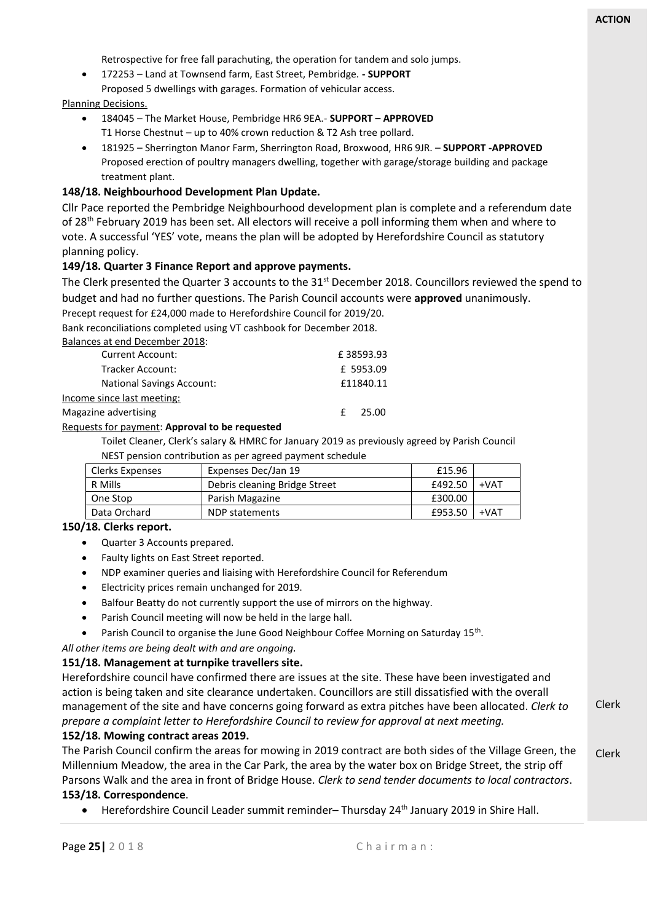Clerk

Retrospective for free fall parachuting, the operation for tandem and solo jumps.

• 172253 – Land at Townsend farm, East Street, Pembridge. **- SUPPORT** Proposed 5 dwellings with garages. Formation of vehicular access.

#### Planning Decisions.

- 184045 The Market House, Pembridge HR6 9EA.- **SUPPORT – APPROVED**  T1 Horse Chestnut – up to 40% crown reduction & T2 Ash tree pollard.
- 181925 Sherrington Manor Farm, Sherrington Road, Broxwood, HR6 9JR. **SUPPORT -APPROVED** Proposed erection of poultry managers dwelling, together with garage/storage building and package treatment plant.

#### **148/18. Neighbourhood Development Plan Update.**

Cllr Pace reported the Pembridge Neighbourhood development plan is complete and a referendum date of 28<sup>th</sup> February 2019 has been set. All electors will receive a poll informing them when and where to vote. A successful 'YES' vote, means the plan will be adopted by Herefordshire Council as statutory planning policy.

#### **149/18. Quarter 3 Finance Report and approve payments.**

The Clerk presented the Quarter 3 accounts to the 31<sup>st</sup> December 2018. Councillors reviewed the spend to budget and had no further questions. The Parish Council accounts were **approved** unanimously.

Precept request for £24,000 made to Herefordshire Council for 2019/20.

Bank reconciliations completed using VT cashbook for December 2018.

Balances at end December 2018:

| <b>Current Account:</b>          | £38593.93 |  |
|----------------------------------|-----------|--|
| Tracker Account:                 | £ 5953.09 |  |
| <b>National Savings Account:</b> | £11840.11 |  |
| Income since last meeting:       |           |  |
| Magazine advertising             | -25.00    |  |

#### Requests for payment: **Approval to be requested**

Toilet Cleaner, Clerk's salary & HMRC for January 2019 as previously agreed by Parish Council NEST pension contribution as per agreed payment schedule

| Clerks Expenses | Expenses Dec/Jan 19           | £15.96  |        |
|-----------------|-------------------------------|---------|--------|
| R Mills         | Debris cleaning Bridge Street | £492.50 | $+VAT$ |
| One Stop        | Parish Magazine               | £300.00 |        |
| Data Orchard    | NDP statements                | £953.50 | $+VAT$ |

#### **150/18. Clerks report.**

- Quarter 3 Accounts prepared.
- Faulty lights on East Street reported.
- NDP examiner queries and liaising with Herefordshire Council for Referendum
- Electricity prices remain unchanged for 2019.
- Balfour Beatty do not currently support the use of mirrors on the highway.
- Parish Council meeting will now be held in the large hall.
- Parish Council to organise the June Good Neighbour Coffee Morning on Saturday  $15^{th}$ .

*All other items are being dealt with and are ongoing.*

#### **151/18. Management at turnpike travellers site.**

Herefordshire council have confirmed there are issues at the site. These have been investigated and action is being taken and site clearance undertaken. Councillors are still dissatisfied with the overall management of the site and have concerns going forward as extra pitches have been allocated. *Clerk to prepare a complaint letter to Herefordshire Council to review for approval at next meeting.*

#### **152/18. Mowing contract areas 2019.**

Clerk The Parish Council confirm the areas for mowing in 2019 contract are both sides of the Village Green, the Millennium Meadow, the area in the Car Park, the area by the water box on Bridge Street, the strip off Parsons Walk and the area in front of Bridge House. *Clerk to send tender documents to local contractors*. **153/18. Correspondence**.

#### • Herefordshire Council Leader summit reminder– Thursday 24th January 2019 in Shire Hall.